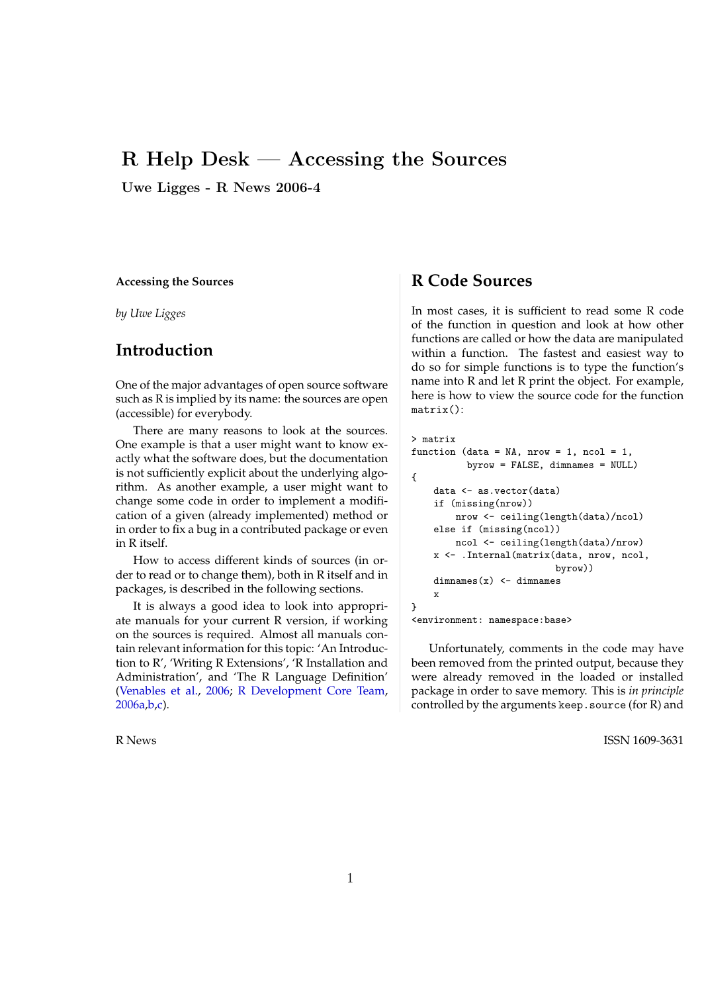#### R Help Desk — Accessing the Sources ties. *ACM Computing Surveys*, 31(4es):5, 1999. ISSN *Statistics Department Stanford, CA 94305*

Uwe Ligges - R News 2006-4

#### **Accessing the Sources**

*by Uwe Ligges*

## **Introduction**

One of the major advantages of open source software such as R is implied by its name: the sources are open (accessible) for everybody.

There are many reasons to look at the sources. One example is that a user might want to know exactly what the software does, but the documentation is not sufficiently explicit about the underlying algorithm. As another example, a user might want to change some code in order to implement a modification of a given (already implemented) method or in order to fix a bug in a contributed package or even in R itself.

How to access different kinds of sources (in order to read or to change them), both in R itself and in packages, is described in the following sections.

It is always a good idea to look into appropriate manuals for your current R version, if working on the sources is required. Almost all manuals contain relevant information for this topic: 'An Introduction to R', 'Writing R Extensions', 'R Installation and Administration', and 'The R Language Definition' (Venables et al., 2006; R Development Core Team, 2006a,b,c).

## **R Code Sources**

In most cases, it is sufficient to read some R code of the function in question and look at how other functions are called or how the data are manipulated within a function. The fastest and easiest way to do so for simple functions is to type the function's name into R and let R print the object. For example, here is how to view the source code for the function matrix():

```
> matrix
function (data = NA, nrow = 1, ncol = 1,
          byrow = FALSE, dimnames = NULL){
    data <- as.vector(data)
    if (missing(nrow))
       nrow <- ceiling(length(data)/ncol)
    else if (missing(ncol))
       ncol <- ceiling(length(data)/nrow)
    x <- .Internal(matrix(data, nrow, ncol,
                          byrow))
    dimnames(x) <- dimnames
    x
}
```
#### <environment: namespace:base>

Unfortunately, comments in the code may have been removed from the printed output, because they were already removed in the loaded or installed package in order to save memory. This is *in principle* controlled by the arguments keep.source (for R) and

R News ISSN 1609-3631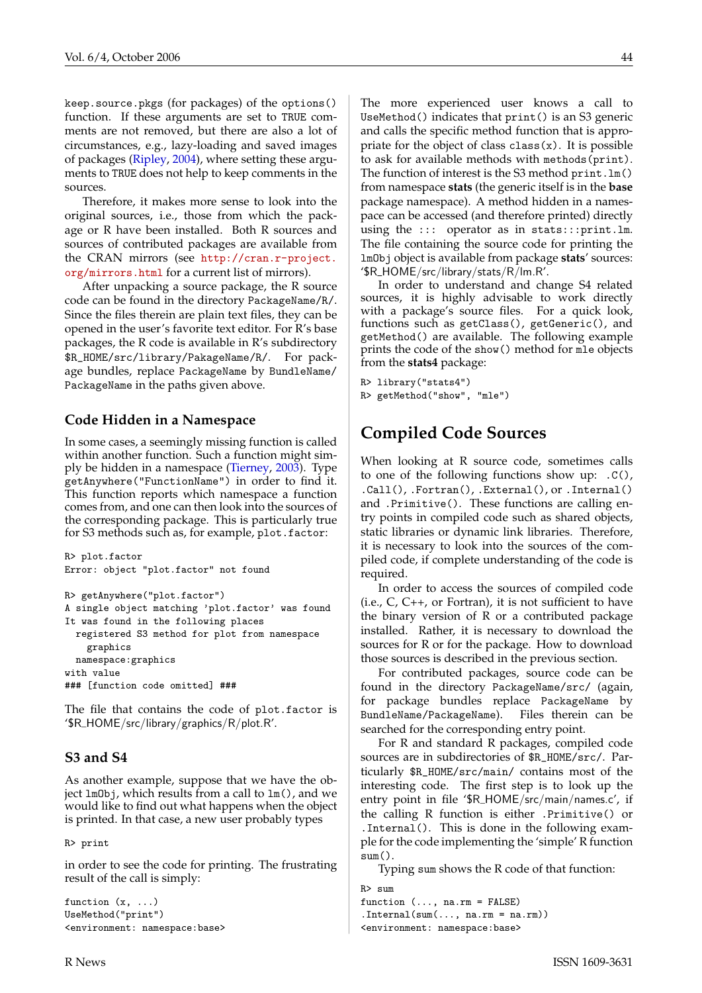keep.source.pkgs (for packages) of the options() function. If these arguments are set to TRUE comments are not removed, but there are also a lot of circumstances, e.g., lazy-loading and saved images of packages (Ripley, 2004), where setting these arguments to TRUE does not help to keep comments in the sources.

Therefore, it makes more sense to look into the original sources, i.e., those from which the package or R have been installed. Both R sources and sources of contributed packages are available from the CRAN mirrors (see http://cran.r-project. org/mirrors.html for a current list of mirrors).

After unpacking a source package, the R source code can be found in the directory PackageName/R/. Since the files therein are plain text files, they can be opened in the user's favorite text editor. For R's base packages, the R code is available in R's subdirectory \$R\_HOME/src/library/PakageName/R/. For package bundles, replace PackageName by BundleName/ PackageName in the paths given above.

#### **Code Hidden in a Namespace**

In some cases, a seemingly missing function is called within another function. Such a function might simply be hidden in a namespace (Tierney, 2003). Type getAnywhere("FunctionName") in order to find it. This function reports which namespace a function comes from, and one can then look into the sources of the corresponding package. This is particularly true for S3 methods such as, for example, plot.factor:

```
R> plot.factor
Error: object "plot.factor" not found
R> getAnywhere("plot.factor")
A single object matching 'plot.factor' was found
It was found in the following places
  registered S3 method for plot from namespace
    graphics
 namespace:graphics
with value
### [function code omitted] ###
```
The file that contains the code of plot.factor is '\$R HOME/src/library/graphics/R/plot.R'.

### **S3 and S4**

As another example, suppose that we have the object lmObj, which results from a call to lm(), and we would like to find out what happens when the object is printed. In that case, a new user probably types

R> print

in order to see the code for printing. The frustrating result of the call is simply:

```
function (x, ...)
UseMethod("print")
<environment: namespace:base>
```
The more experienced user knows a call to UseMethod() indicates that print() is an S3 generic and calls the specific method function that is appropriate for the object of class  $\text{class}(x)$ . It is possible to ask for available methods with methods(print). The function of interest is the S3 method print.lm() from namespace **stats** (the generic itself is in the **base** package namespace). A method hidden in a namespace can be accessed (and therefore printed) directly using the ::: operator as in stats:::print.lm. The file containing the source code for printing the lmObj object is available from package **stats**' sources: '\$R HOME/src/library/stats/R/lm.R'.

In order to understand and change S4 related sources, it is highly advisable to work directly with a package's source files. For a quick look, functions such as getClass(), getGeneric(), and getMethod() are available. The following example prints the code of the show() method for mle objects from the **stats4** package:

```
R> library("stats4")
R> getMethod("show", "mle")
```
# **Compiled Code Sources**

When looking at R source code, sometimes calls to one of the following functions show up: .C(), .Call(), .Fortran(), .External(), or .Internal() and .Primitive(). These functions are calling entry points in compiled code such as shared objects, static libraries or dynamic link libraries. Therefore, it is necessary to look into the sources of the compiled code, if complete understanding of the code is required.

In order to access the sources of compiled code (i.e.,  $C$ ,  $C$ ++, or Fortran), it is not sufficient to have the binary version of R or a contributed package installed. Rather, it is necessary to download the sources for R or for the package. How to download those sources is described in the previous section.

For contributed packages, source code can be found in the directory PackageName/src/ (again, for package bundles replace PackageName by BundleName/PackageName). Files therein can be searched for the corresponding entry point.

For R and standard R packages, compiled code sources are in subdirectories of \$R\_HOME/src/. Particularly \$R\_HOME/src/main/ contains most of the interesting code. The first step is to look up the entry point in file '\$R HOME/src/main/names.c', if the calling R function is either .Primitive() or .Internal(). This is done in the following example for the code implementing the 'simple' R function sum().

Typing sum shows the R code of that function:

```
R> sum
function (..., na.rm = FALSE)
.Internal(sum(\ldots, na.rm = na.rm))
<environment: namespace:base>
```